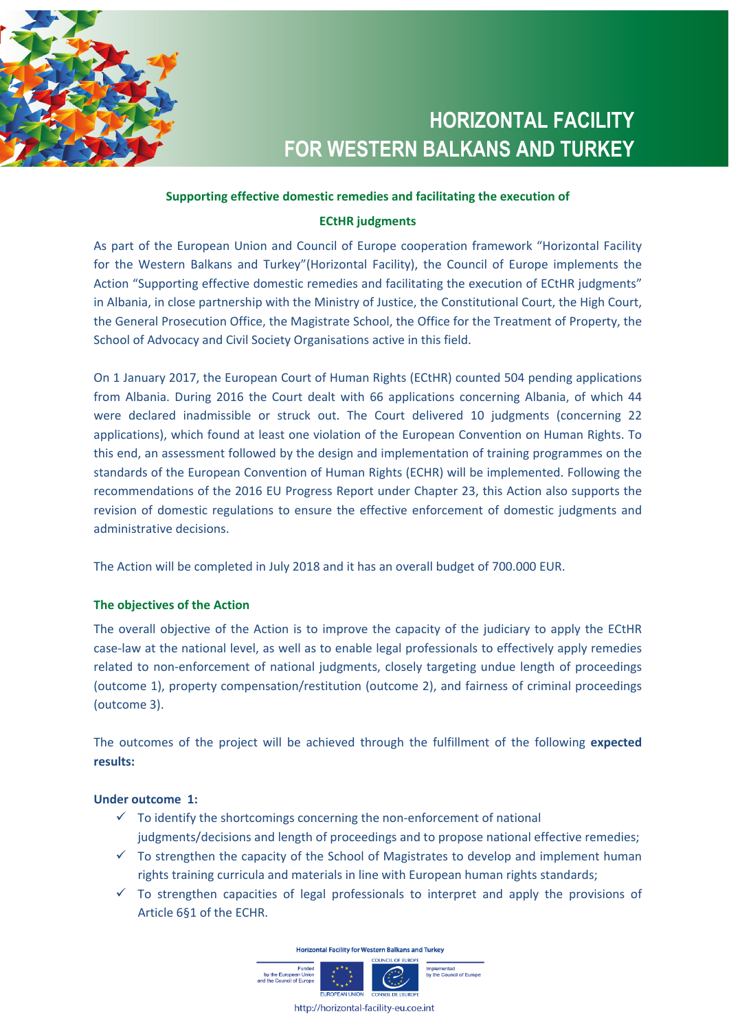

## **HORIZONTAL FACILITY FOR WESTERN BALKANS AND TURKEY**

## **Supporting effective domestic remedies and facilitating the execution of**

## **ECtHR judgments**

As part of the European Union and Council of Europe cooperation framework "Horizontal Facility for the Western Balkans and Turkey"(Horizontal Facility), the Council of Europe implements the Action "Supporting effective domestic remedies and facilitating the execution of ECtHR judgments" in Albania, in close partnership with the Ministry of Justice, the Constitutional Court, the High Court, the General Prosecution Office, the Magistrate School, the Office for the Treatment of Property, the School of Advocacy and Civil Society Organisations active in this field.

On 1 January 2017, the European Court of Human Rights (ECtHR) counted 504 pending applications from Albania. During 2016 the Court dealt with 66 applications concerning Albania, of which 44 were declared inadmissible or struck out. The Court delivered 10 judgments (concerning 22 applications), which found at least one violation of the European Convention on Human Rights. To this end, an assessment followed by the design and implementation of training programmes on the standards of the European Convention of Human Rights (ECHR) will be implemented. Following the recommendations of the 2016 EU Progress Report under Chapter 23, this Action also supports the revision of domestic regulations to ensure the effective enforcement of domestic judgments and administrative decisions.

The Action will be completed in July 2018 and it has an overall budget of 700.000 EUR.

### **The objectives of the Action**

The overall objective of the Action is to improve the capacity of the judiciary to apply the ECtHR case-law at the national level, as well as to enable legal professionals to effectively apply remedies related to non-enforcement of national judgments, closely targeting undue length of proceedings (outcome 1), property compensation/restitution (outcome 2), and fairness of criminal proceedings (outcome 3).

The outcomes of the project will be achieved through the fulfillment of the following **expected results:**

### **Under outcome 1:**

- $\checkmark$  To identify the shortcomings concerning the non-enforcement of national judgments/decisions and length of proceedings and to propose national effective remedies;
- $\checkmark$  To strengthen the capacity of the School of Magistrates to develop and implement human rights training curricula and materials in line with European human rights standards;
- $\checkmark$  To strengthen capacities of legal professionals to interpret and apply the provisions of Article 6§1 of the ECHR.

**Horizontal Facility for Western Balkans and Turkey** 





http://horizontal-facility-eu.coe.int